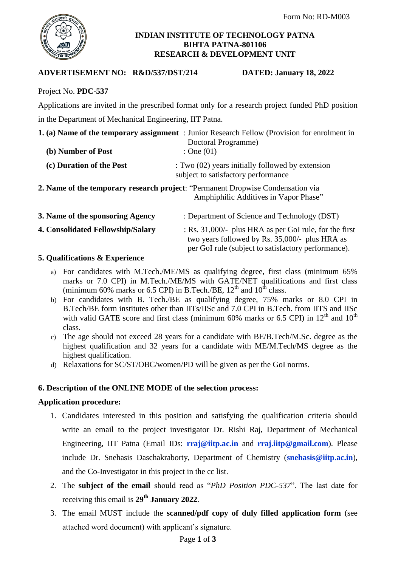

#### **INDIAN INSTITUTE OF TECHNOLOGY PATNA BIHTA PATNA-801106 RESEARCH & DEVELOPMENT UNIT**

# **ADVERTISEMENT NO: R&D/537/DST/214 DATED: January 18, 2022**

# Project No. **PDC-537**

Applications are invited in the prescribed format only for a research project funded PhD position in the Department of Mechanical Engineering, IIT Patna.

| (b) Number of Post                       | <b>1. (a) Name of the temporary assignment</b> : Junior Research Fellow (Provision for enrolment in<br>Doctoral Programme)<br>: One $(01)$                         |
|------------------------------------------|--------------------------------------------------------------------------------------------------------------------------------------------------------------------|
| (c) Duration of the Post                 | : Two (02) years initially followed by extension<br>subject to satisfactory performance                                                                            |
|                                          | 2. Name of the temporary research project: "Permanent Dropwise Condensation via<br>Amphiphilic Additives in Vapor Phase"                                           |
| 3. Name of the sponsoring Agency         | : Department of Science and Technology (DST)                                                                                                                       |
| <b>4. Consolidated Fellowship/Salary</b> | : Rs. $31,000/$ - plus HRA as per GoI rule, for the first<br>two years followed by Rs. 35,000/- plus HRA as<br>per GoI rule (subject to satisfactory performance). |

# **5. Qualifications & Experience**

- a) For candidates with M.Tech./ME/MS as qualifying degree, first class (minimum 65% marks or 7.0 CPI) in M.Tech./ME/MS with GATE/NET qualifications and first class (minimum 60% marks or 6.5 CPI) in B.Tech./BE,  $12<sup>th</sup>$  and  $10<sup>th</sup>$  class.
- b) For candidates with B. Tech./BE as qualifying degree, 75% marks or 8.0 CPI in B.Tech/BE form institutes other than IITs/IISc and 7.0 CPI in B.Tech. from IITS and IISc with valid GATE score and first class (minimum 60% marks or 6.5 CPI) in  $12<sup>th</sup>$  and  $10<sup>th</sup>$ class.
- c) The age should not exceed 28 years for a candidate with BE/B.Tech/M.Sc. degree as the highest qualification and 32 years for a candidate with ME/M.Tech/MS degree as the highest qualification.
- d) Relaxations for SC/ST/OBC/women/PD will be given as per the GoI norms.

# **6. Description of the ONLINE MODE of the selection process:**

#### **Application procedure:**

- 1. Candidates interested in this position and satisfying the qualification criteria should write an email to the project investigator Dr. Rishi Raj, Department of Mechanical Engineering, IIT Patna (Email IDs: **rraj@iitp.ac.in** and **rraj.iitp@gmail.com**). Please include Dr. Snehasis Daschakraborty, Department of Chemistry (**snehasis@iitp.ac.in**), and the Co-Investigator in this project in the cc list.
- 2. The **subject of the email** should read as "*PhD Position PDC-537*". The last date for receiving this email is **29th January 2022**.
- 3. The email MUST include the **scanned/pdf copy of duly filled application form** (see attached word document) with applicant's signature.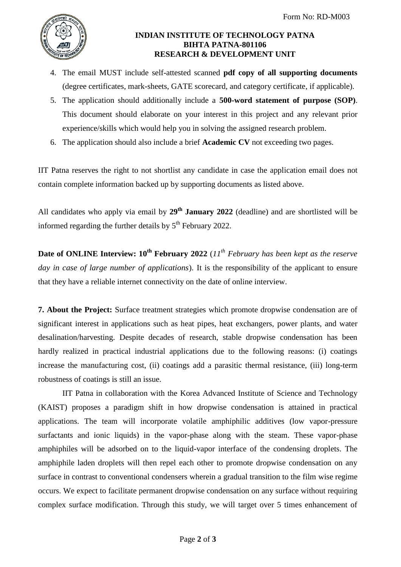

# **INDIAN INSTITUTE OF TECHNOLOGY PATNA BIHTA PATNA-801106 RESEARCH & DEVELOPMENT UNIT**

- 4. The email MUST include self-attested scanned **pdf copy of all supporting documents** (degree certificates, mark-sheets, GATE scorecard, and category certificate, if applicable).
- 5. The application should additionally include a **500-word statement of purpose (SOP)**. This document should elaborate on your interest in this project and any relevant prior experience/skills which would help you in solving the assigned research problem.
- 6. The application should also include a brief **Academic CV** not exceeding two pages.

IIT Patna reserves the right to not shortlist any candidate in case the application email does not contain complete information backed up by supporting documents as listed above.

All candidates who apply via email by **29th January 2022** (deadline) and are shortlisted will be informed regarding the further details by  $5<sup>th</sup>$  February 2022.

**Date of ONLINE Interview: 10<sup>th</sup> February 2022** (11<sup>th</sup> February has been kept as the reserve *day in case of large number of applications*). It is the responsibility of the applicant to ensure that they have a reliable internet connectivity on the date of online interview.

**7. About the Project:** Surface treatment strategies which promote dropwise condensation are of significant interest in applications such as heat pipes, heat exchangers, power plants, and water desalination/harvesting. Despite decades of research, stable dropwise condensation has been hardly realized in practical industrial applications due to the following reasons: (i) coatings increase the manufacturing cost, (ii) coatings add a parasitic thermal resistance, (iii) long-term robustness of coatings is still an issue.

IIT Patna in collaboration with the Korea Advanced Institute of Science and Technology (KAIST) proposes a paradigm shift in how dropwise condensation is attained in practical applications. The team will incorporate volatile amphiphilic additives (low vapor-pressure surfactants and ionic liquids) in the vapor-phase along with the steam. These vapor-phase amphiphiles will be adsorbed on to the liquid-vapor interface of the condensing droplets. The amphiphile laden droplets will then repel each other to promote dropwise condensation on any surface in contrast to conventional condensers wherein a gradual transition to the film wise regime occurs. We expect to facilitate permanent dropwise condensation on any surface without requiring complex surface modification. Through this study, we will target over 5 times enhancement of